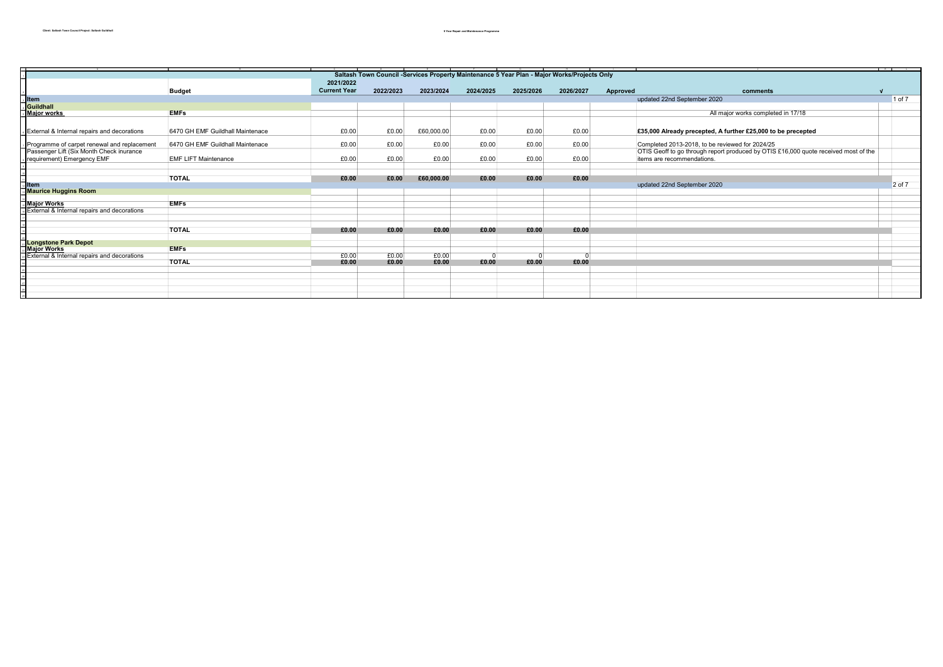|                                                                                             |                     |                |                |           | $\mathbf{G}$ and $\mathbf{G}$ and $\mathbf{G}$ |           |          |                                                                                     |  |        |
|---------------------------------------------------------------------------------------------|---------------------|----------------|----------------|-----------|------------------------------------------------|-----------|----------|-------------------------------------------------------------------------------------|--|--------|
| Saltash Town Council -Services Property Maintenance 5 Year Plan - Major Works/Projects Only |                     |                |                |           |                                                |           |          |                                                                                     |  |        |
|                                                                                             | 2021/2022           |                |                |           |                                                |           |          |                                                                                     |  |        |
| <b>Budget</b>                                                                               | <b>Current Year</b> | 2022/2023      | 2023/2024      | 2024/2025 | 2025/2026                                      | 2026/2027 | Approved | comments                                                                            |  |        |
| <b>Item</b>                                                                                 |                     |                |                |           |                                                |           |          | updated 22nd September 2020                                                         |  | 1 of 7 |
|                                                                                             |                     |                |                |           |                                                |           |          |                                                                                     |  |        |
| . <mark>Guildhall</mark><br>. <mark>Major works</mark><br><b>EMFs</b>                       |                     |                |                |           |                                                |           |          | All major works completed in 17/18                                                  |  |        |
|                                                                                             |                     |                |                |           |                                                |           |          |                                                                                     |  |        |
| External & Internal repairs and decorations<br>6470 GH EMF Guildhall Maintenace             | £0.00               |                | £60,000.00     |           | £0.00                                          | £0.00     |          |                                                                                     |  |        |
|                                                                                             |                     | £0.00          |                | £0.00     |                                                |           |          | £35,000 Already precepted, A further £25,000 to be precepted                        |  |        |
| Programme of carpet renewal and replacement<br>6470 GH EMF Guildhall Maintenace             | £0.00               | £0.00          | £0.00          | £0.00     | £0.00                                          | £0.00     |          | Completed 2013-2018, to be reviewed for 2024/25                                     |  |        |
| Passenger Lift (Six Month Check inurance                                                    |                     |                |                |           |                                                |           |          | OTIS Geoff to go through report produced by OTIS £16,000 quote received most of the |  |        |
| requirement) Emergency EMF<br><b>EMF LIFT Maintenance</b>                                   | £0.00               | £0.00          | £0.00          | £0.00     | £0.00                                          | £0.00     |          | items are recommendations.                                                          |  |        |
|                                                                                             |                     |                |                |           |                                                |           |          |                                                                                     |  |        |
|                                                                                             |                     |                |                |           |                                                |           |          |                                                                                     |  |        |
| <b>TOTAL</b>                                                                                | £0.00               | £0.00          | £60,000.00     | £0.00     | £0.00                                          | £0.00     |          |                                                                                     |  |        |
| <b>I</b> tem                                                                                |                     |                |                |           |                                                |           |          | updated 22nd September 2020                                                         |  | 2 of 7 |
| <b>Maurice Huggins Room</b>                                                                 |                     |                |                |           |                                                |           |          |                                                                                     |  |        |
| <b>EMFs</b>                                                                                 |                     |                |                |           |                                                |           |          |                                                                                     |  |        |
| ,<br>  <mark>Major Works</mark><br>  External & Internal repairs and decorations            |                     |                |                |           |                                                |           |          |                                                                                     |  |        |
|                                                                                             |                     |                |                |           |                                                |           |          |                                                                                     |  |        |
|                                                                                             |                     |                |                |           |                                                |           |          |                                                                                     |  |        |
| <b>TOTAL</b>                                                                                | £0.00               | £0.00          | £0.00          | £0.00     | £0.00                                          | £0.00     |          |                                                                                     |  |        |
|                                                                                             |                     |                |                |           |                                                |           |          |                                                                                     |  |        |
| <b>Longstone Park Depot</b>                                                                 |                     |                |                |           |                                                |           |          |                                                                                     |  |        |
| <b>EMFs</b><br><b>Major Works</b>                                                           |                     |                |                |           |                                                |           |          |                                                                                     |  |        |
| External & Internal repairs and decorations<br><b>TOTAL</b>                                 | £0.00<br>£0.00      | £0.00<br>£0.00 | £0.00<br>£0.00 | £0.00     | £0.00                                          | £0.00     |          |                                                                                     |  |        |
|                                                                                             |                     |                |                |           |                                                |           |          |                                                                                     |  |        |
|                                                                                             |                     |                |                |           |                                                |           |          |                                                                                     |  |        |
|                                                                                             |                     |                |                |           |                                                |           |          |                                                                                     |  |        |
|                                                                                             |                     |                |                |           |                                                |           |          |                                                                                     |  |        |
|                                                                                             |                     |                |                |           |                                                |           |          |                                                                                     |  |        |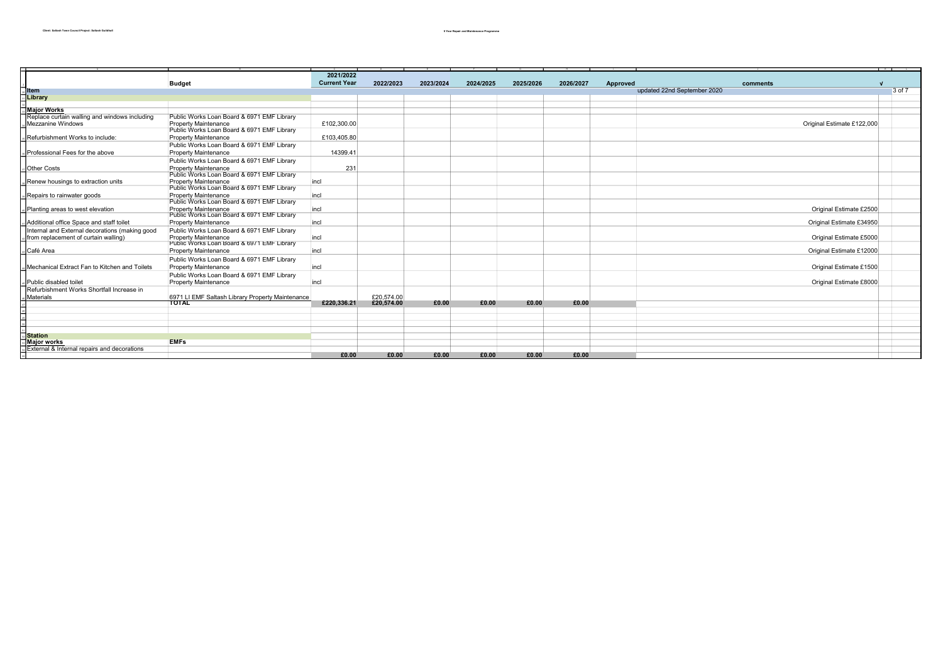|                                                        |                                                  |                     |            |           |           |           |           |                 |                             | K | and the control |
|--------------------------------------------------------|--------------------------------------------------|---------------------|------------|-----------|-----------|-----------|-----------|-----------------|-----------------------------|---|-----------------|
|                                                        |                                                  | 2021/2022           |            |           |           |           |           |                 |                             |   |                 |
|                                                        | <b>Budget</b>                                    | <b>Current Year</b> | 2022/2023  | 2023/2024 | 2024/2025 | 2025/2026 | 2026/2027 | <b>Approved</b> | comments                    |   |                 |
| ltem                                                   |                                                  |                     |            |           |           |           |           |                 | updated 22nd September 2020 |   | $3$ of $7$      |
| Library                                                |                                                  |                     |            |           |           |           |           |                 |                             |   |                 |
|                                                        |                                                  |                     |            |           |           |           |           |                 |                             |   |                 |
| <b>Major Works</b>                                     |                                                  |                     |            |           |           |           |           |                 |                             |   |                 |
| Replace curtain walling and windows including          | Public Works Loan Board & 6971 EMF Library       |                     |            |           |           |           |           |                 |                             |   |                 |
| <b>Mezzanine Windows</b>                               | <b>Property Maintenance</b>                      | £102,300.00         |            |           |           |           |           |                 | Original Estimate £122,000  |   |                 |
|                                                        | Public Works Loan Board & 6971 EMF Library       |                     |            |           |           |           |           |                 |                             |   |                 |
| Refurbishment Works to include:                        | <b>Property Maintenance</b>                      | £103,405.80         |            |           |           |           |           |                 |                             |   |                 |
|                                                        | Public Works Loan Board & 6971 EMF Library       |                     |            |           |           |           |           |                 |                             |   |                 |
| Professional Fees for the above                        | Property Maintenance                             | 14399.41            |            |           |           |           |           |                 |                             |   |                 |
|                                                        | Public Works Loan Board & 6971 EMF Library       |                     |            |           |           |           |           |                 |                             |   |                 |
| <b>Other Costs</b>                                     | <b>Property Maintenance</b>                      | 231                 |            |           |           |           |           |                 |                             |   |                 |
|                                                        | Public Works Loan Board & 6971 EMF Library       |                     |            |           |           |           |           |                 |                             |   |                 |
| Renew housings to extraction units                     | <b>Property Maintenance</b>                      | incl                |            |           |           |           |           |                 |                             |   |                 |
|                                                        | Public Works Loan Board & 6971 EMF Library       |                     |            |           |           |           |           |                 |                             |   |                 |
| Repairs to rainwater goods                             | <b>Property Maintenance</b>                      | incl                |            |           |           |           |           |                 |                             |   |                 |
|                                                        | Public Works Loan Board & 6971 EMF Library       |                     |            |           |           |           |           |                 |                             |   |                 |
| Planting areas to west elevation                       | <b>Property Maintenance</b>                      | incl                |            |           |           |           |           |                 | Original Estimate £2500     |   |                 |
|                                                        | Public Works Loan Board & 6971 EMF Library       |                     |            |           |           |           |           |                 |                             |   |                 |
| Additional office Space and staff toilet               | <b>Property Maintenance</b>                      | incl                |            |           |           |           |           |                 | Original Estimate £34950    |   |                 |
| Internal and External decorations (making good         | Public Works Loan Board & 6971 EMF Library       |                     |            |           |           |           |           |                 |                             |   |                 |
| from replacement of curtain walling)                   | <b>Property Maintenance</b>                      | incl                |            |           |           |           |           |                 | Original Estimate £5000     |   |                 |
|                                                        | Public Works Loan Board & 69/1 EMF Library       |                     |            |           |           |           |           |                 |                             |   |                 |
| Café Area                                              | <b>Property Maintenance</b>                      | incl                |            |           |           |           |           |                 | Original Estimate £12000    |   |                 |
|                                                        | Public Works Loan Board & 6971 EMF Library       |                     |            |           |           |           |           |                 |                             |   |                 |
| Mechanical Extract Fan to Kitchen and Toilets          | <b>Property Maintenance</b>                      | incl                |            |           |           |           |           |                 | Original Estimate £1500     |   |                 |
|                                                        | Public Works Loan Board & 6971 EMF Library       |                     |            |           |           |           |           |                 |                             |   |                 |
| Public disabled toilet                                 | <b>Property Maintenance</b>                      | incl                |            |           |           |           |           |                 | Original Estimate £8000     |   |                 |
| Refurbishment Works Shortfall Increase in              |                                                  |                     |            |           |           |           |           |                 |                             |   |                 |
| Materials                                              | 6971 LI EMF Saltash Library Property Maintenance |                     | £20,574.00 |           |           |           |           |                 |                             |   |                 |
|                                                        | <b>TOTAL</b>                                     | £220,336,21         | £20,574.00 | £0.00     | £0.00     | £0.00     | £0.00     |                 |                             |   |                 |
|                                                        |                                                  |                     |            |           |           |           |           |                 |                             |   |                 |
|                                                        |                                                  |                     |            |           |           |           |           |                 |                             |   |                 |
|                                                        |                                                  |                     |            |           |           |           |           |                 |                             |   |                 |
|                                                        |                                                  |                     |            |           |           |           |           |                 |                             |   |                 |
| <b>Station</b>                                         |                                                  |                     |            |           |           |           |           |                 |                             |   |                 |
| <b>Major works</b>                                     | <b>EMFs</b>                                      |                     |            |           |           |           |           |                 |                             |   |                 |
| <b>External &amp; Internal repairs and decorations</b> |                                                  | £0.00               | £0.00      | £0.00     | £0.00     | £0.00     | £0.00     |                 |                             |   |                 |
|                                                        |                                                  |                     |            |           |           |           |           |                 |                             |   |                 |